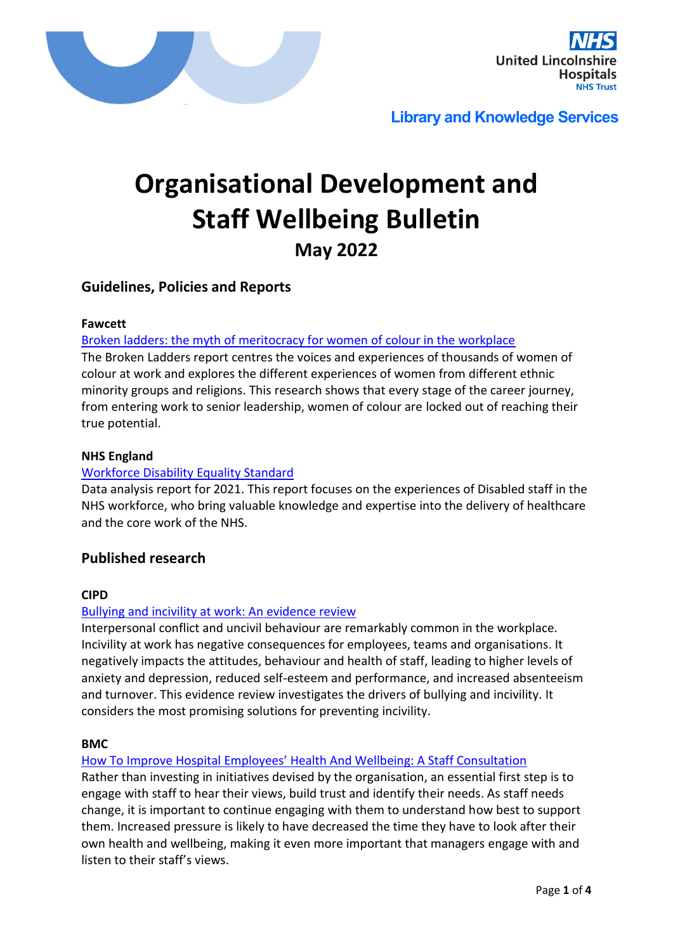



# **Organisational Development and Staff Wellbeing Bulletin May 2022**

# **Guidelines, Policies and Reports**

#### **Fawcett**

#### [Broken ladders: the myth of meritocracy for women of colour in the workplace](https://www.fawcettsociety.org.uk/Handlers/Download.ashx?IDMF=72040c36-8cd6-4ae3-93f3-e2ad63a4b4b0)

The Broken Ladders report centres the voices and experiences of thousands of women of colour at work and explores the different experiences of women from different ethnic minority groups and religions. This research shows that every stage of the career journey, from entering work to senior leadership, women of colour are locked out of reaching their true potential.

#### **NHS England**

#### [Workforce Disability Equality Standard](https://www.england.nhs.uk/wp-content/uploads/2022/05/Workforce-Disability-Equality-Standard-2021-data-analysis-report-for-NHS-trusts-and-foundation-trusts.pdf)

Data analysis report for 2021. This report focuses on the experiences of Disabled staff in the NHS workforce, who bring valuable knowledge and expertise into the delivery of healthcare and the core work of the NHS.

## **Published research**

#### **CIPD**

#### [Bullying and incivility at work: An evidence review](https://www.cipd.co.uk/knowledge/fundamentals/relations/disputes/evidence-bullying-and-incivility-at-work)

Interpersonal conflict and uncivil behaviour are remarkably common in the workplace. Incivility at work has negative consequences for employees, teams and organisations. It negatively impacts the attitudes, behaviour and health of staff, leading to higher levels of anxiety and depression, reduced self-esteem and performance, and increased absenteeism and turnover. This evidence review investigates the drivers of bullying and incivility. It considers the most promising solutions for preventing incivility.

#### **BMC**

#### How [To Improve Hospital Employees' Health And Wellbeing: A Staff Consultation](https://www.researchsquare.com/article/rs-1430449/v1)

Rather than investing in initiatives devised by the organisation, an essential first step is to engage with staff to hear their views, build trust and identify their needs. As staff needs change, it is important to continue engaging with them to understand how best to support them. Increased pressure is likely to have decreased the time they have to look after their own health and wellbeing, making it even more important that managers engage with and listen to their staff's views.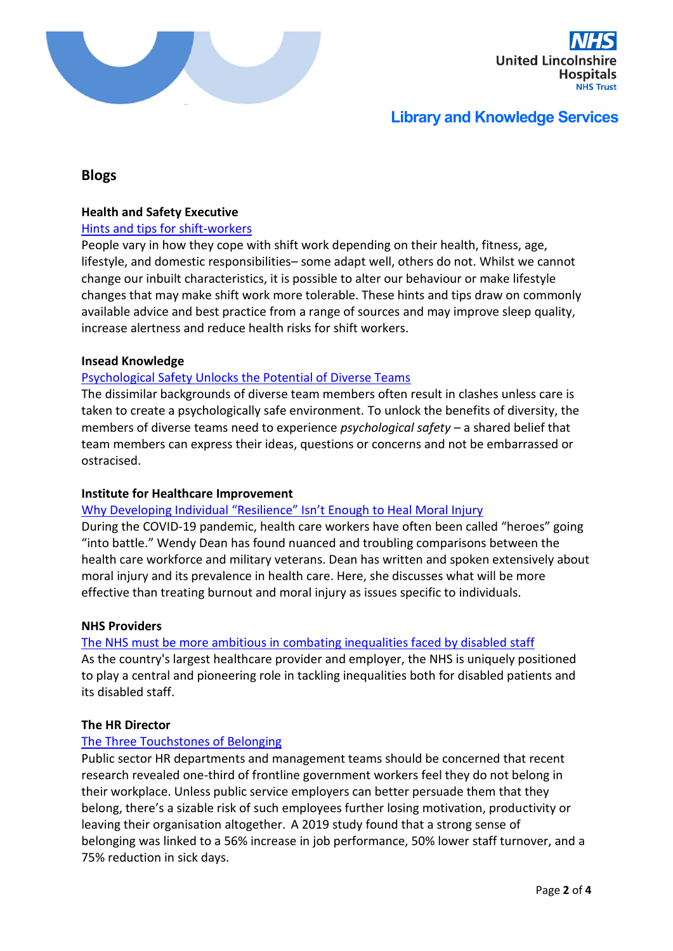



# **Blogs**

#### **Health and Safety Executive**

#### [Hints and tips for shift-workers](https://www.hse.gov.uk/humanfactors/topics/shift-workers.htm?utm_source=govdelivery&utm_medium=email&utm_campaign=guidance-push&utm_term=shifts-headline&utm_content=digest-17-may-22)

People vary in how they cope with shift work depending on their health, fitness, age, lifestyle, and domestic responsibilities– some adapt well, others do not. Whilst we cannot change our inbuilt characteristics, it is possible to alter our behaviour or make lifestyle changes that may make shift work more tolerable. These hints and tips draw on commonly available advice and best practice from a range of sources and may improve sleep quality, increase alertness and reduce health risks for shift workers.

#### **Insead Knowledge**

#### [Psychological Safety Unlocks the Potential of Diverse Teams](https://knowledge.insead.edu/leadership-organisations/psychological-safety-unlocks-the-potential-of-diverse-teams-18631)

The dissimilar backgrounds of diverse team members often result in clashes unless care is taken to create a psychologically safe environment. To unlock the benefits of diversity, the members of diverse teams need to experience *psychological safety* – a shared belief that team members can express their ideas, questions or concerns and not be embarrassed or ostracised.

#### **Institute for Healthcare Improvement**

#### [Why Developing Individual "Resilience" Isn't Enough to Heal Moral Injury](http://www.ihi.org/communities/blogs/why-developing-individual-resilience-isnt-enough-to-heal-moral-injury)

During the COVID-19 pandemic, health care workers have often been called "heroes" going "into battle." Wendy Dean has found nuanced and troubling comparisons between the health care workforce and military veterans. Dean has written and spoken extensively about moral injury and its prevalence in health care. Here, she discusses what will be more effective than treating burnout and moral injury as issues specific to individuals.

#### **NHS Providers**

#### [The NHS must be more ambitious in combating inequalities faced by disabled staff](https://nhsproviders.org/news-blogs/blogs/the-nhs-must-be-more-ambitious-in-combating-inequalities-faced-by-disabled-staff)

As the country's largest healthcare provider and employer, the NHS is uniquely positioned to play a central and pioneering role in tackling inequalities both for disabled patients and its disabled staff.

#### **The HR Director**

#### [The Three Touchstones of Belonging](https://www.thehrdirector.com/three-touchstones-belonging/)

Public sector HR departments and management teams should be concerned that recent research revealed one-third of frontline government workers feel they do not belong in their workplace. Unless public service employers can better persuade them that they belong, there's a sizable risk of such employees further losing motivation, productivity or leaving their organisation altogether. A 2019 study found that a strong sense of belonging was linked to a 56% increase in job performance, 50% lower staff turnover, and a 75% reduction in sick days.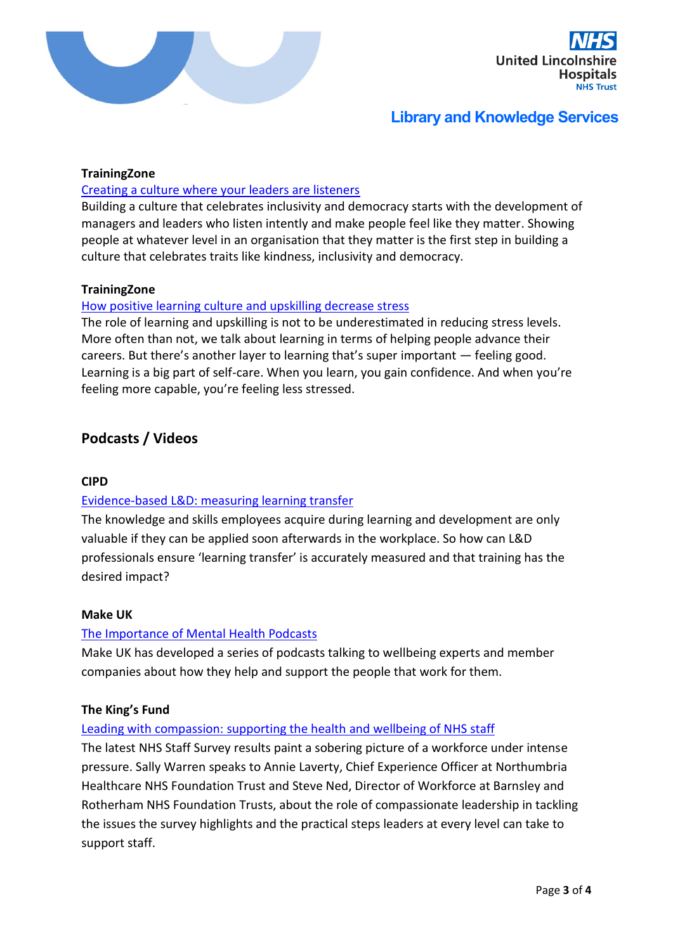



#### **TrainingZone**

#### [Creating a culture where your leaders are listeners](https://www.trainingzone.co.uk/lead/culture/creating-a-culture-where-your-leaders-are-listeners)

Building a culture that celebrates inclusivity and democracy starts with the development of managers and leaders who listen intently and make people feel like they matter. Showing people at whatever level in an organisation that they matter is the first step in building a culture that celebrates traits like kindness, inclusivity and democracy.

#### **TrainingZone**

#### [How positive learning culture and upskilling decrease stress](https://www.trainingzone.co.uk/lead/culture/how-positive-learning-culture-and-upskilling-decrease-stress)

The role of learning and upskilling is not to be underestimated in reducing stress levels. More often than not, we talk about learning in terms of helping people advance their careers. But there's another layer to learning that's super important — feeling good. Learning is a big part of self-care. When you learn, you gain confidence. And when you're feeling more capable, you're feeling less stressed.

# **Podcasts / Videos**

#### **CIPD**

## [Evidence-based L&D: measuring learning transfer](https://www.cipd.co.uk/podcasts/transfer-of-learning)

The knowledge and skills employees acquire during learning and development are only valuable if they can be applied soon afterwards in the workplace. So how can L&D professionals ensure 'learning transfer' is accurately measured and that training has the desired impact?

#### **Make UK**

#### [The Importance of Mental Health Podcasts](https://www.makeuk.org/services/health-safety-sustainability/wellbeing/the-importance-of-mental-health-podcasts)

Make UK has developed a series of podcasts talking to wellbeing experts and member companies about how they help and support the people that work for them.

#### **The King's Fund**

#### Leading with compassion: [supporting the health and wellbeing of NHS staff](https://www.kingsfund.org.uk/audio-video/podcast/leading-compassion-health-wellbeing-nhs-staff)

The latest NHS Staff Survey results paint a sobering picture of a workforce under intense pressure. Sally Warren speaks to Annie Laverty, Chief Experience Officer at Northumbria Healthcare NHS Foundation Trust and Steve Ned, Director of Workforce at Barnsley and Rotherham NHS Foundation Trusts, about the role of compassionate leadership in tackling the issues the survey highlights and the practical steps leaders at every level can take to support staff.